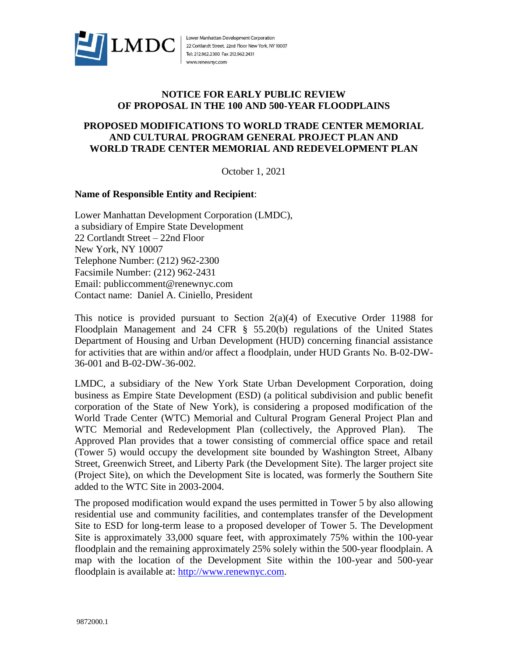

Lower Manhattan Development Corporation 22 Cortlandt Street, 22nd Floor New York, NY 10007 Tel: 212.962.2300 Fax 212.962.2431 www.renewnyc.com

## **NOTICE FOR EARLY PUBLIC REVIEW OF PROPOSAL IN THE 100 AND 500-YEAR FLOODPLAINS**

## **PROPOSED MODIFICATIONS TO WORLD TRADE CENTER MEMORIAL AND CULTURAL PROGRAM GENERAL PROJECT PLAN AND WORLD TRADE CENTER MEMORIAL AND REDEVELOPMENT PLAN**

October 1, 2021

## **Name of Responsible Entity and Recipient**:

Lower Manhattan Development Corporation (LMDC), a subsidiary of Empire State Development 22 Cortlandt Street – 22nd Floor New York, NY 10007 Telephone Number: (212) 962-2300 Facsimile Number: (212) 962-2431 Email: publiccomment@renewnyc.com Contact name: Daniel A. Ciniello, President

This notice is provided pursuant to Section  $2(a)(4)$  of Executive Order 11988 for Floodplain Management and 24 CFR § 55.20(b) regulations of the United States Department of Housing and Urban Development (HUD) concerning financial assistance for activities that are within and/or affect a floodplain, under HUD Grants No. B-02-DW-36-001 and B-02-DW-36-002.

LMDC, a subsidiary of the New York State Urban Development Corporation, doing business as Empire State Development (ESD) (a political subdivision and public benefit corporation of the State of New York), is considering a proposed modification of the World Trade Center (WTC) Memorial and Cultural Program General Project Plan and WTC Memorial and Redevelopment Plan (collectively, the Approved Plan). The Approved Plan provides that a tower consisting of commercial office space and retail (Tower 5) would occupy the development site bounded by Washington Street, Albany Street, Greenwich Street, and Liberty Park (the Development Site). The larger project site (Project Site), on which the Development Site is located, was formerly the Southern Site added to the WTC Site in 2003-2004.

The proposed modification would expand the uses permitted in Tower 5 by also allowing residential use and community facilities, and contemplates transfer of the Development Site to ESD for long-term lease to a proposed developer of Tower 5. The Development Site is approximately 33,000 square feet, with approximately 75% within the 100-year floodplain and the remaining approximately 25% solely within the 500-year floodplain. A map with the location of the Development Site within the 100-year and 500-year floodplain is available at: [http://www.renewnyc.com.](http://www.renewnyc.com/)